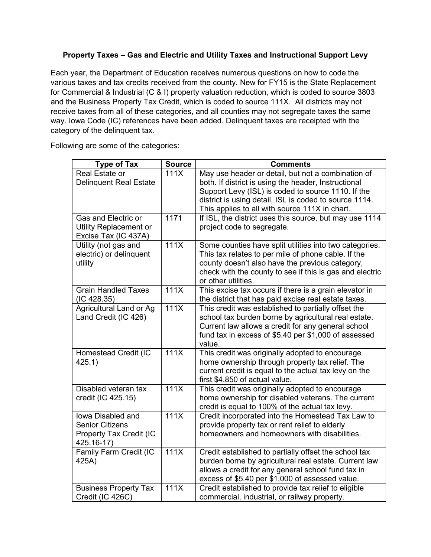## **Property Taxes – Gas and Electric and Utility Taxes and Instructional Support Levy**

Each year, the Department of Education receives numerous questions on how to code the various taxes and tax credits received from the county. New for FY15 is the State Replacement for Commercial & Industrial (C & I) property valuation reduction, which is coded to source 3803 and the Business Property Tax Credit, which is coded to source 111X. All districts may not receive taxes from all of these categories, and all counties may not segregate taxes the same way. Iowa Code (IC) references have been added. Delinquent taxes are receipted with the category of the delinquent tax.

Following are some of the categories:

| <b>Type of Tax</b>                                                                          | <b>Source</b> | <b>Comments</b>                                                                                                                                                                                                                                                              |
|---------------------------------------------------------------------------------------------|---------------|------------------------------------------------------------------------------------------------------------------------------------------------------------------------------------------------------------------------------------------------------------------------------|
| Real Estate or<br><b>Delinquent Real Estate</b>                                             | 111X          | May use header or detail, but not a combination of<br>both. If district is using the header, Instructional<br>Support Levy (ISL) is coded to source 1110. If the<br>district is using detail, ISL is coded to source 1114.<br>This applies to all with source 111X in chart. |
| Gas and Electric or<br>Utility Replacement or<br>Excise Tax (IC 437A)                       | 1171          | If ISL, the district uses this source, but may use 1114<br>project code to segregate.                                                                                                                                                                                        |
| Utility (not gas and<br>electric) or delinquent<br>utility                                  | 111X          | Some counties have split utilities into two categories.<br>This tax relates to per mile of phone cable. If the<br>county doesn't also have the previous category,<br>check with the county to see if this is gas and electric<br>or other utilities.                         |
| <b>Grain Handled Taxes</b><br>(IC 428.35)                                                   | 111X          | This excise tax occurs if there is a grain elevator in<br>the district that has paid excise real estate taxes.                                                                                                                                                               |
| Agricultural Land or Ag<br>Land Credit (IC 426)                                             | 111X          | This credit was established to partially offset the<br>school tax burden borne by agricultural real estate.<br>Current law allows a credit for any general school<br>fund tax in excess of \$5.40 per \$1,000 of assessed<br>value.                                          |
| Homestead Credit (IC<br>425.1)                                                              | 111X          | This credit was originally adopted to encourage<br>home ownership through property tax relief. The<br>current credit is equal to the actual tax levy on the<br>first \$4,850 of actual value.                                                                                |
| Disabled veteran tax<br>credit (IC 425.15)                                                  | 111X          | This credit was originally adopted to encourage<br>home ownership for disabled veterans. The current<br>credit is equal to 100% of the actual tax levy.                                                                                                                      |
| <b>lowa Disabled and</b><br><b>Senior Citizens</b><br>Property Tax Credit (IC<br>425.16-17) | 111X          | Credit incorporated into the Homestead Tax Law to<br>provide property tax or rent relief to elderly<br>homeowners and homeowners with disabilities.                                                                                                                          |
| Family Farm Credit (IC<br>425A)                                                             | 111X          | Credit established to partially offset the school tax<br>burden borne by agricultural real estate. Current law<br>allows a credit for any general school fund tax in<br>excess of \$5.40 per \$1,000 of assessed value.                                                      |
| <b>Business Property Tax</b><br>Credit (IC 426C)                                            | 111X          | Credit established to provide tax relief to eligible<br>commercial, industrial, or railway property.                                                                                                                                                                         |